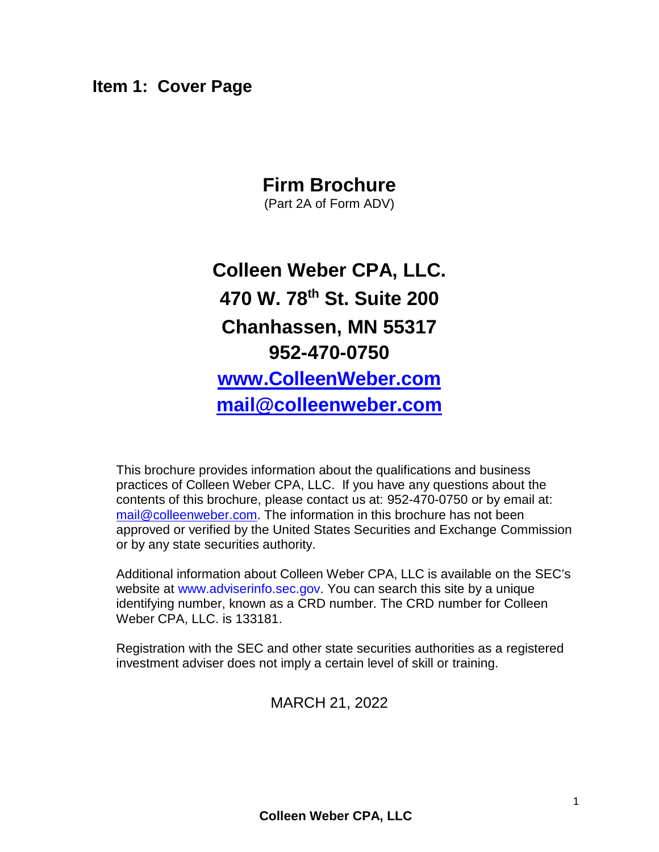### <span id="page-0-0"></span>**Item 1: Cover Page**

# **Firm Brochure**

(Part 2A of Form ADV)

# **Colleen Weber CPA, LLC. 470 W. 78th St. Suite 200 Chanhassen, MN 55317 952-470-0750 [www.ColleenWeber.com](http://www.colleenweber.com/) [mail@colleenweber.com](mailto:mail@colleenweber.com)**

This brochure provides information about the qualifications and business practices of Colleen Weber CPA, LLC. If you have any questions about the contents of this brochure, please contact us at: 952-470-0750 or by email at: [mail@colleenweber.com.](mailto:mail@colleenweber.com) The information in this brochure has not been approved or verified by the United States Securities and Exchange Commission or by any state securities authority.

Additional information about Colleen Weber CPA, LLC is available on the SEC's website at [www.adviserinfo.sec.gov.](http://www.adviserinfo.sec.gov/) You can search this site by a unique identifying number, known as a CRD number. The CRD number for Colleen Weber CPA, LLC. is 133181.

Registration with the SEC and other state securities authorities as a registered investment adviser does not imply a certain level of skill or training.

MARCH 21, 2022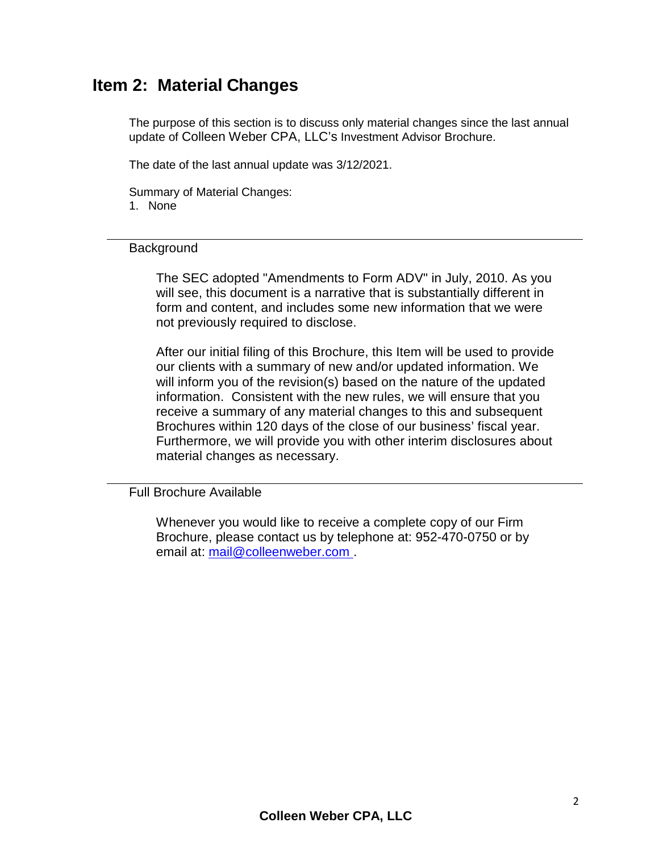# <span id="page-1-0"></span>**Item 2: Material Changes**

The purpose of this section is to discuss only material changes since the last annual update of Colleen Weber CPA, LLC's Investment Advisor Brochure.

The date of the last annual update was 3/12/2021.

Summary of Material Changes: 1. None

#### **Background**

The SEC adopted "Amendments to Form ADV" in July, 2010. As you will see, this document is a narrative that is substantially different in form and content, and includes some new information that we were not previously required to disclose.

After our initial filing of this Brochure, this Item will be used to provide our clients with a summary of new and/or updated information. We will inform you of the revision(s) based on the nature of the updated information. Consistent with the new rules, we will ensure that you receive a summary of any material changes to this and subsequent Brochures within 120 days of the close of our business' fiscal year. Furthermore, we will provide you with other interim disclosures about material changes as necessary.

Full Brochure Available

Whenever you would like to receive a complete copy of our Firm Brochure, please contact us by telephone at: 952-470-0750 or by email at: [mail@colleenweber.com](mailto:mail@colleenweber.com) .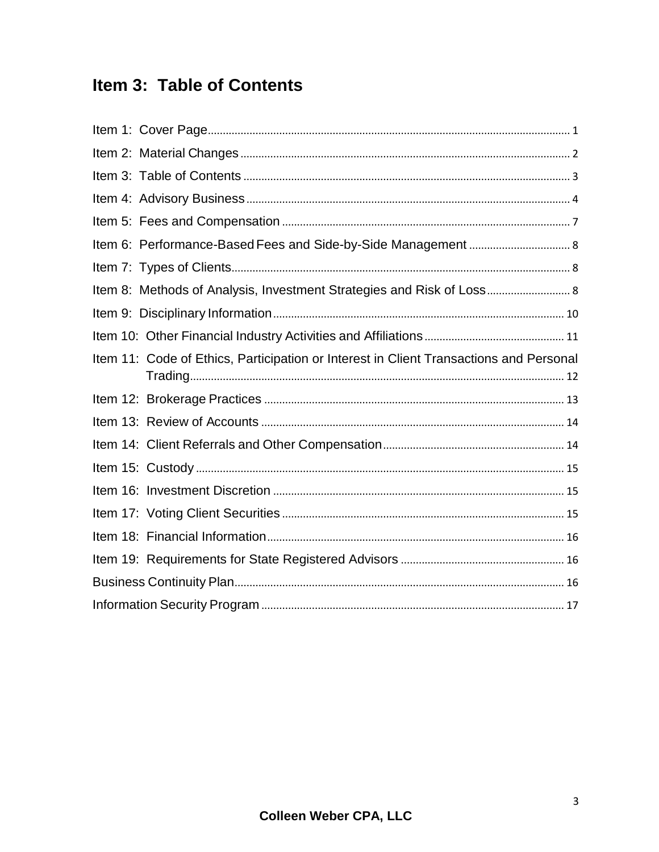# <span id="page-2-0"></span>Item 3: Table of Contents

| Item 8: Methods of Analysis, Investment Strategies and Risk of Loss 8                  |
|----------------------------------------------------------------------------------------|
|                                                                                        |
|                                                                                        |
| Item 11: Code of Ethics, Participation or Interest in Client Transactions and Personal |
|                                                                                        |
|                                                                                        |
|                                                                                        |
|                                                                                        |
|                                                                                        |
|                                                                                        |
|                                                                                        |
|                                                                                        |
|                                                                                        |
|                                                                                        |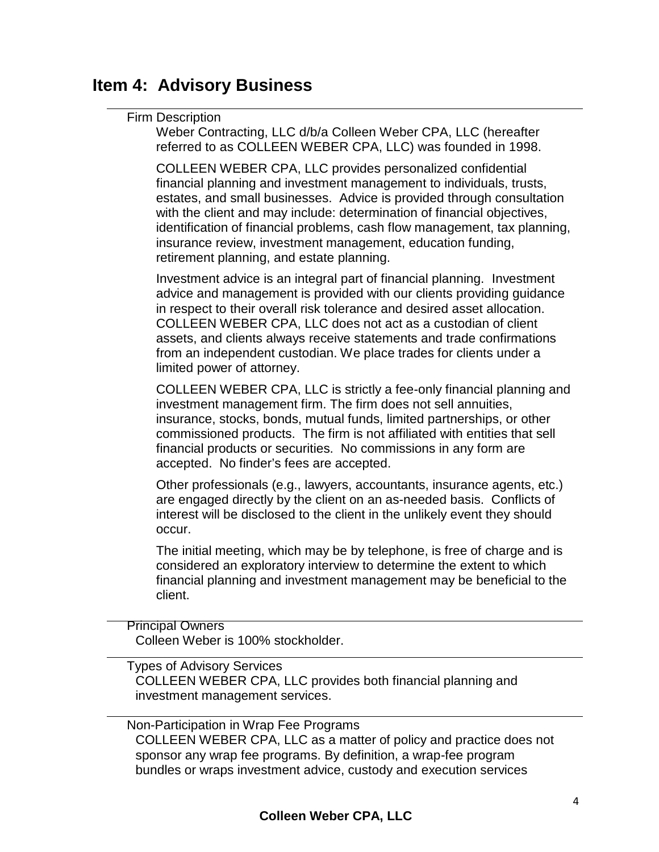# <span id="page-3-0"></span>**Item 4: Advisory Business**

### Firm Description

Weber Contracting, LLC d/b/a Colleen Weber CPA, LLC (hereafter referred to as COLLEEN WEBER CPA, LLC) was founded in 1998.

COLLEEN WEBER CPA, LLC provides personalized confidential financial planning and investment management to individuals, trusts, estates, and small businesses. Advice is provided through consultation with the client and may include: determination of financial objectives, identification of financial problems, cash flow management, tax planning, insurance review, investment management, education funding, retirement planning, and estate planning.

Investment advice is an integral part of financial planning. Investment advice and management is provided with our clients providing guidance in respect to their overall risk tolerance and desired asset allocation. COLLEEN WEBER CPA, LLC does not act as a custodian of client assets, and clients always receive statements and trade confirmations from an independent custodian. We place trades for clients under a limited power of attorney.

COLLEEN WEBER CPA, LLC is strictly a fee-only financial planning and investment management firm. The firm does not sell annuities, insurance, stocks, bonds, mutual funds, limited partnerships, or other commissioned products. The firm is not affiliated with entities that sell financial products or securities. No commissions in any form are accepted. No finder's fees are accepted.

Other professionals (e.g., lawyers, accountants, insurance agents, etc.) are engaged directly by the client on an as-needed basis. Conflicts of interest will be disclosed to the client in the unlikely event they should occur.

The initial meeting, which may be by telephone, is free of charge and is considered an exploratory interview to determine the extent to which financial planning and investment management may be beneficial to the client.

Principal Owners Colleen Weber is 100% stockholder.

Types of Advisory Services COLLEEN WEBER CPA, LLC provides both financial planning and investment management services.

Non-Participation in Wrap Fee Programs COLLEEN WEBER CPA, LLC as a matter of policy and practice does not sponsor any wrap fee programs. By definition, a wrap-fee program bundles or wraps investment advice, custody and execution services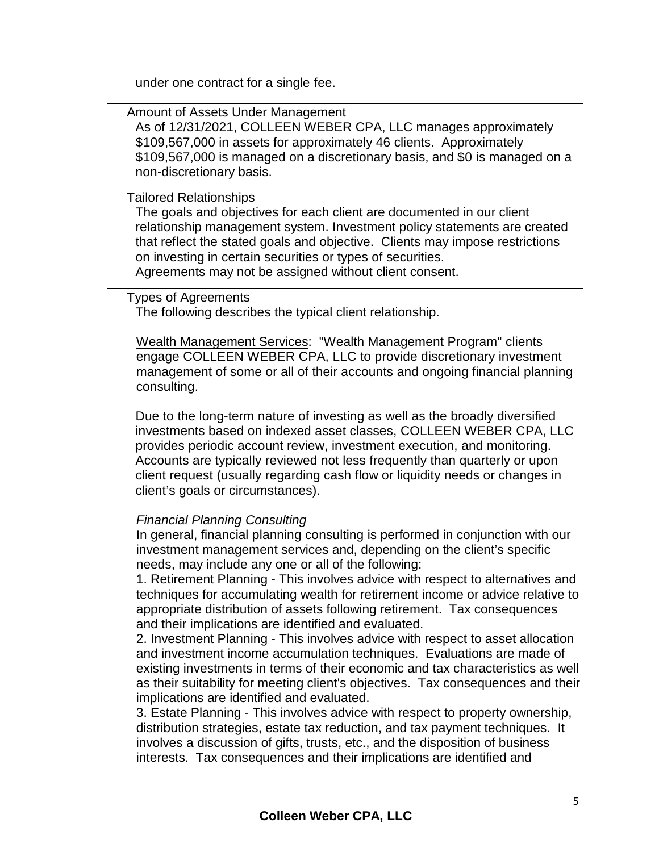under one contract for a single fee.

Amount of Assets Under Management As of 12/31/2021, COLLEEN WEBER CPA, LLC manages approximately \$109,567,000 in assets for approximately 46 clients. Approximately \$109,567,000 is managed on a discretionary basis, and \$0 is managed on a non-discretionary basis.

Tailored Relationships

The goals and objectives for each client are documented in our client relationship management system. Investment policy statements are created that reflect the stated goals and objective. Clients may impose restrictions on investing in certain securities or types of securities. Agreements may not be assigned without client consent.

### Types of Agreements

The following describes the typical client relationship.

Wealth Management Services: "Wealth Management Program" clients engage COLLEEN WEBER CPA, LLC to provide discretionary investment management of some or all of their accounts and ongoing financial planning consulting.

Due to the long-term nature of investing as well as the broadly diversified investments based on indexed asset classes, COLLEEN WEBER CPA, LLC provides periodic account review, investment execution, and monitoring. Accounts are typically reviewed not less frequently than quarterly or upon client request (usually regarding cash flow or liquidity needs or changes in client's goals or circumstances).

#### *Financial Planning Consulting*

In general, financial planning consulting is performed in conjunction with our investment management services and, depending on the client's specific needs, may include any one or all of the following:

1. Retirement Planning - This involves advice with respect to alternatives and techniques for accumulating wealth for retirement income or advice relative to appropriate distribution of assets following retirement. Tax consequences and their implications are identified and evaluated.

2. Investment Planning - This involves advice with respect to asset allocation and investment income accumulation techniques. Evaluations are made of existing investments in terms of their economic and tax characteristics as well as their suitability for meeting client's objectives. Tax consequences and their implications are identified and evaluated.

3. Estate Planning - This involves advice with respect to property ownership, distribution strategies, estate tax reduction, and tax payment techniques. It involves a discussion of gifts, trusts, etc., and the disposition of business interests. Tax consequences and their implications are identified and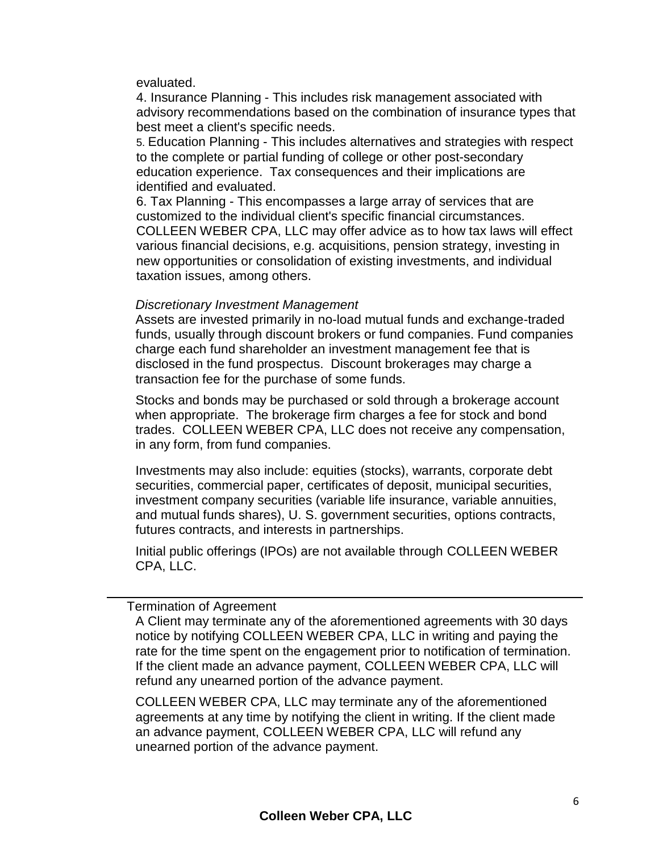evaluated.

4. Insurance Planning - This includes risk management associated with advisory recommendations based on the combination of insurance types that best meet a client's specific needs.

5. Education Planning - This includes alternatives and strategies with respect to the complete or partial funding of college or other post-secondary education experience. Tax consequences and their implications are identified and evaluated.

6. Tax Planning - This encompasses a large array of services that are customized to the individual client's specific financial circumstances. COLLEEN WEBER CPA, LLC may offer advice as to how tax laws will effect various financial decisions, e.g. acquisitions, pension strategy, investing in new opportunities or consolidation of existing investments, and individual taxation issues, among others.

### *Discretionary Investment Management*

Assets are invested primarily in no-load mutual funds and exchange-traded funds, usually through discount brokers or fund companies. Fund companies charge each fund shareholder an investment management fee that is disclosed in the fund prospectus. Discount brokerages may charge a transaction fee for the purchase of some funds.

Stocks and bonds may be purchased or sold through a brokerage account when appropriate. The brokerage firm charges a fee for stock and bond trades. COLLEEN WEBER CPA, LLC does not receive any compensation, in any form, from fund companies.

Investments may also include: equities (stocks), warrants, corporate debt securities, commercial paper, certificates of deposit, municipal securities, investment company securities (variable life insurance, variable annuities, and mutual funds shares), U. S. government securities, options contracts, futures contracts, and interests in partnerships.

Initial public offerings (IPOs) are not available through COLLEEN WEBER CPA, LLC.

Termination of Agreement

A Client may terminate any of the aforementioned agreements with 30 days notice by notifying COLLEEN WEBER CPA, LLC in writing and paying the rate for the time spent on the engagement prior to notification of termination. If the client made an advance payment, COLLEEN WEBER CPA, LLC will refund any unearned portion of the advance payment.

COLLEEN WEBER CPA, LLC may terminate any of the aforementioned agreements at any time by notifying the client in writing. If the client made an advance payment, COLLEEN WEBER CPA, LLC will refund any unearned portion of the advance payment.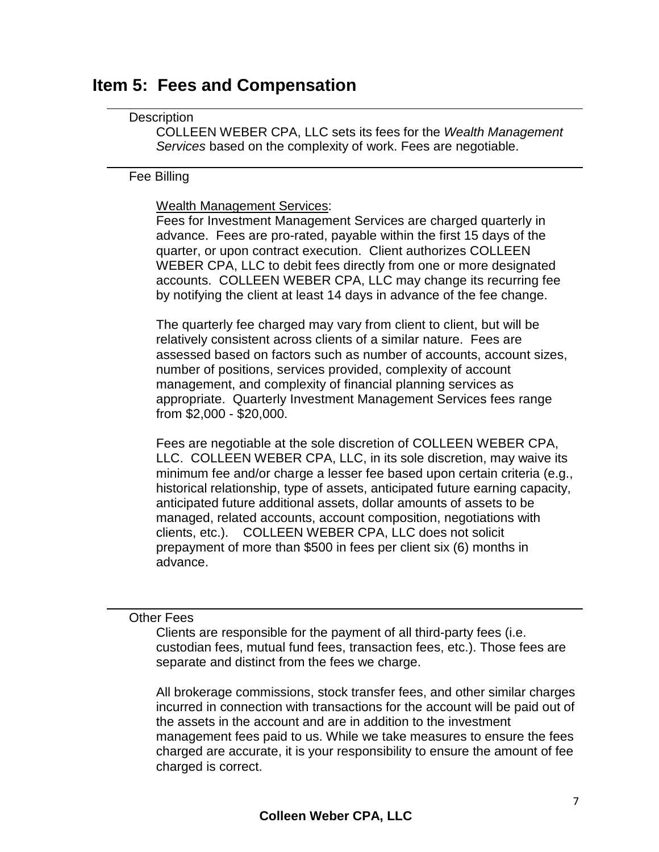### <span id="page-6-0"></span>**Item 5: Fees and Compensation**

### **Description**

COLLEEN WEBER CPA, LLC sets its fees for the *Wealth Management Services* based on the complexity of work. Fees are negotiable.

### Fee Billing

### Wealth Management Services:

Fees for Investment Management Services are charged quarterly in advance. Fees are pro-rated, payable within the first 15 days of the quarter, or upon contract execution. Client authorizes COLLEEN WEBER CPA, LLC to debit fees directly from one or more designated accounts. COLLEEN WEBER CPA, LLC may change its recurring fee by notifying the client at least 14 days in advance of the fee change.

The quarterly fee charged may vary from client to client, but will be relatively consistent across clients of a similar nature. Fees are assessed based on factors such as number of accounts, account sizes, number of positions, services provided, complexity of account management, and complexity of financial planning services as appropriate. Quarterly Investment Management Services fees range from \$2,000 - \$20,000.

Fees are negotiable at the sole discretion of COLLEEN WEBER CPA, LLC. COLLEEN WEBER CPA, LLC, in its sole discretion, may waive its minimum fee and/or charge a lesser fee based upon certain criteria (e.g., historical relationship, type of assets, anticipated future earning capacity, anticipated future additional assets, dollar amounts of assets to be managed, related accounts, account composition, negotiations with clients, etc.). COLLEEN WEBER CPA, LLC does not solicit prepayment of more than \$500 in fees per client six (6) months in advance.

### Other Fees

Clients are responsible for the payment of all third-party fees (i.e. custodian fees, mutual fund fees, transaction fees, etc.). Those fees are separate and distinct from the fees we charge.

All brokerage commissions, stock transfer fees, and other similar charges incurred in connection with transactions for the account will be paid out of the assets in the account and are in addition to the investment management fees paid to us. While we take measures to ensure the fees charged are accurate, it is your responsibility to ensure the amount of fee charged is correct.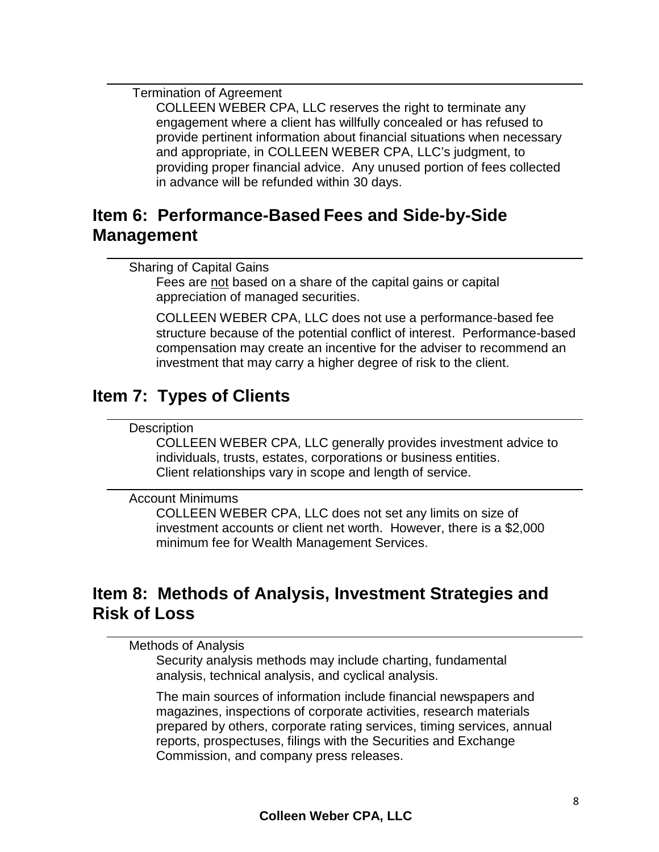Termination of Agreement

COLLEEN WEBER CPA, LLC reserves the right to terminate any engagement where a client has willfully concealed or has refused to provide pertinent information about financial situations when necessary and appropriate, in COLLEEN WEBER CPA, LLC's judgment, to providing proper financial advice. Any unused portion of fees collected in advance will be refunded within 30 days.

### <span id="page-7-0"></span>**Item 6: Performance-Based Fees and Side-by-Side Management**

```
Sharing of Capital Gains
```
Fees are not based on a share of the capital gains or capital appreciation of managed securities.

COLLEEN WEBER CPA, LLC does not use a performance-based fee structure because of the potential conflict of interest. Performance-based compensation may create an incentive for the adviser to recommend an investment that may carry a higher degree of risk to the client.

# <span id="page-7-1"></span>**Item 7: Types of Clients**

### **Description**

COLLEEN WEBER CPA, LLC generally provides investment advice to individuals, trusts, estates, corporations or business entities. Client relationships vary in scope and length of service.

### Account Minimums

COLLEEN WEBER CPA, LLC does not set any limits on size of investment accounts or client net worth. However, there is a \$2,000 minimum fee for Wealth Management Services.

# <span id="page-7-2"></span>**Item 8: Methods of Analysis, Investment Strategies and Risk of Loss**

Methods of Analysis

Security analysis methods may include charting, fundamental analysis, technical analysis, and cyclical analysis.

The main sources of information include financial newspapers and magazines, inspections of corporate activities, research materials prepared by others, corporate rating services, timing services, annual reports, prospectuses, filings with the Securities and Exchange Commission, and company press releases.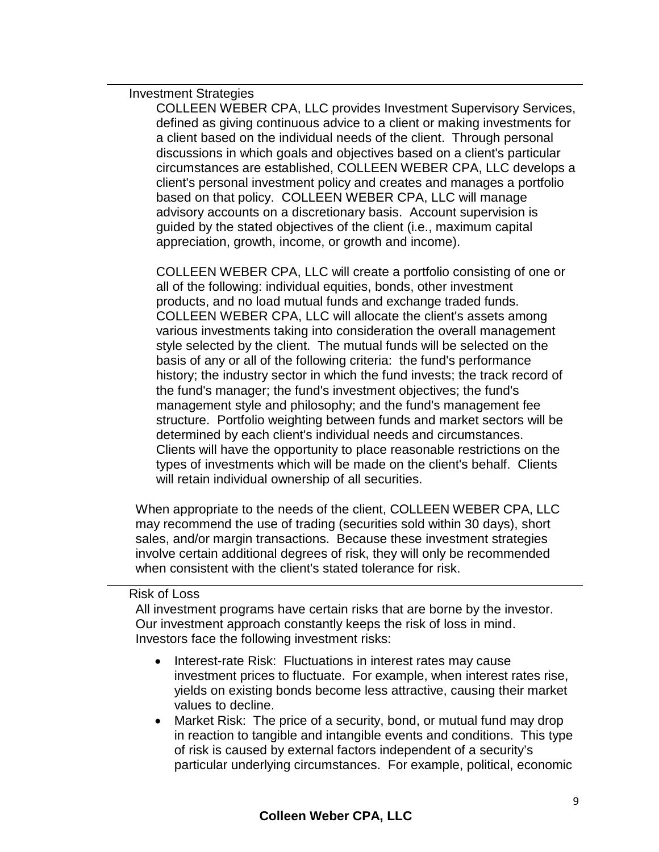#### Investment Strategies

COLLEEN WEBER CPA, LLC provides Investment Supervisory Services, defined as giving continuous advice to a client or making investments for a client based on the individual needs of the client. Through personal discussions in which goals and objectives based on a client's particular circumstances are established, COLLEEN WEBER CPA, LLC develops a client's personal investment policy and creates and manages a portfolio based on that policy. COLLEEN WEBER CPA, LLC will manage advisory accounts on a discretionary basis. Account supervision is guided by the stated objectives of the client (i.e., maximum capital appreciation, growth, income, or growth and income).

COLLEEN WEBER CPA, LLC will create a portfolio consisting of one or all of the following: individual equities, bonds, other investment products, and no load mutual funds and exchange traded funds. COLLEEN WEBER CPA, LLC will allocate the client's assets among various investments taking into consideration the overall management style selected by the client. The mutual funds will be selected on the basis of any or all of the following criteria: the fund's performance history; the industry sector in which the fund invests; the track record of the fund's manager; the fund's investment objectives; the fund's management style and philosophy; and the fund's management fee structure. Portfolio weighting between funds and market sectors will be determined by each client's individual needs and circumstances. Clients will have the opportunity to place reasonable restrictions on the types of investments which will be made on the client's behalf. Clients will retain individual ownership of all securities.

When appropriate to the needs of the client, COLLEEN WEBER CPA, LLC may recommend the use of trading (securities sold within 30 days), short sales, and/or margin transactions. Because these investment strategies involve certain additional degrees of risk, they will only be recommended when consistent with the client's stated tolerance for risk.

#### Risk of Loss

All investment programs have certain risks that are borne by the investor. Our investment approach constantly keeps the risk of loss in mind. Investors face the following investment risks:

- Interest-rate Risk: Fluctuations in interest rates may cause investment prices to fluctuate. For example, when interest rates rise, yields on existing bonds become less attractive, causing their market values to decline.
- Market Risk: The price of a security, bond, or mutual fund may drop in reaction to tangible and intangible events and conditions. This type of risk is caused by external factors independent of a security's particular underlying circumstances. For example, political, economic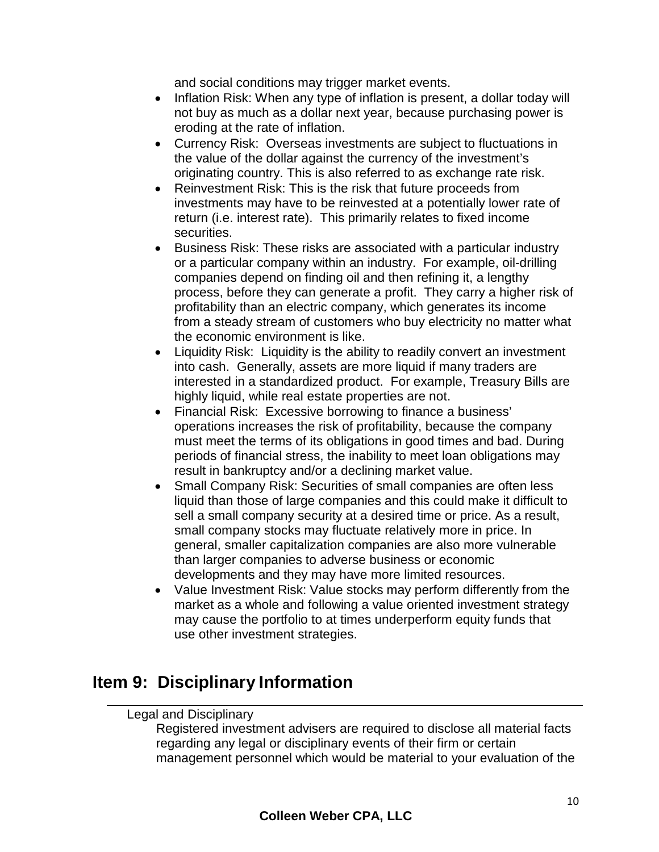and social conditions may trigger market events.

- Inflation Risk: When any type of inflation is present, a dollar today will not buy as much as a dollar next year, because purchasing power is eroding at the rate of inflation.
- Currency Risk: Overseas investments are subject to fluctuations in the value of the dollar against the currency of the investment's originating country. This is also referred to as exchange rate risk.
- Reinvestment Risk: This is the risk that future proceeds from investments may have to be reinvested at a potentially lower rate of return (i.e. interest rate). This primarily relates to fixed income securities.
- Business Risk: These risks are associated with a particular industry or a particular company within an industry. For example, oil-drilling companies depend on finding oil and then refining it, a lengthy process, before they can generate a profit. They carry a higher risk of profitability than an electric company, which generates its income from a steady stream of customers who buy electricity no matter what the economic environment is like.
- Liquidity Risk: Liquidity is the ability to readily convert an investment into cash. Generally, assets are more liquid if many traders are interested in a standardized product. For example, Treasury Bills are highly liquid, while real estate properties are not.
- Financial Risk: Excessive borrowing to finance a business' operations increases the risk of profitability, because the company must meet the terms of its obligations in good times and bad. During periods of financial stress, the inability to meet loan obligations may result in bankruptcy and/or a declining market value.
- Small Company Risk: Securities of small companies are often less liquid than those of large companies and this could make it difficult to sell a small company security at a desired time or price. As a result, small company stocks may fluctuate relatively more in price. In general, smaller capitalization companies are also more vulnerable than larger companies to adverse business or economic developments and they may have more limited resources.
- Value Investment Risk: Value stocks may perform differently from the market as a whole and following a value oriented investment strategy may cause the portfolio to at times underperform equity funds that use other investment strategies.

# <span id="page-9-0"></span>**Item 9: Disciplinary Information**

### Legal and Disciplinary

Registered investment advisers are required to disclose all material facts regarding any legal or disciplinary events of their firm or certain management personnel which would be material to your evaluation of the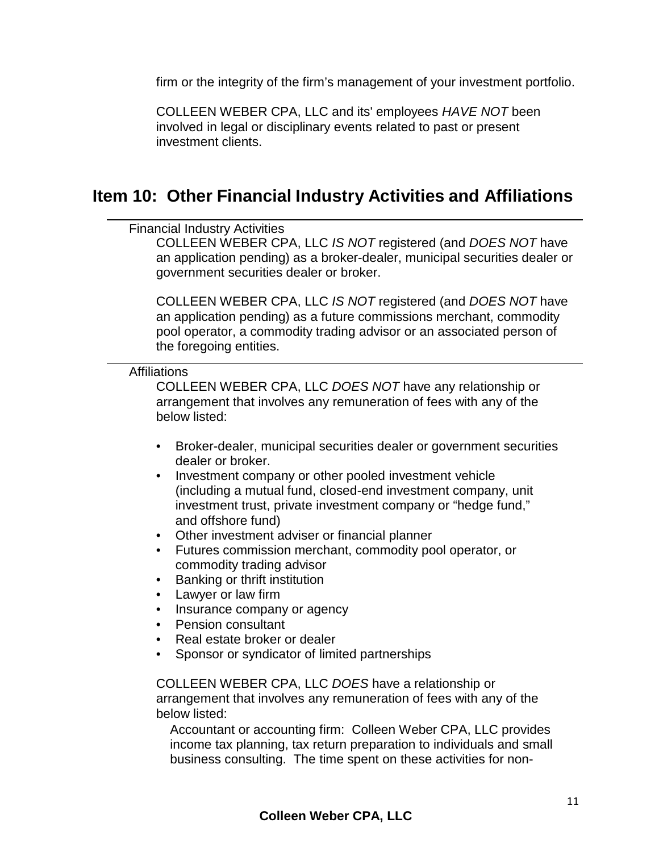firm or the integrity of the firm's management of your investment portfolio.

COLLEEN WEBER CPA, LLC and its' employees *HAVE NOT* been involved in legal or disciplinary events related to past or present investment clients.

### <span id="page-10-0"></span>**Item 10: Other Financial Industry Activities and Affiliations**

Financial Industry Activities

COLLEEN WEBER CPA, LLC *IS NOT* registered (and *DOES NOT* have an application pending) as a broker-dealer, municipal securities dealer or government securities dealer or broker.

COLLEEN WEBER CPA, LLC *IS NOT* registered (and *DOES NOT* have an application pending) as a future commissions merchant, commodity pool operator, a commodity trading advisor or an associated person of the foregoing entities.

**Affiliations** 

COLLEEN WEBER CPA, LLC *DOES NOT* have any relationship or arrangement that involves any remuneration of fees with any of the below listed:

- Broker-dealer, municipal securities dealer or government securities dealer or broker.
- Investment company or other pooled investment vehicle (including a mutual fund, closed-end investment company, unit investment trust, private investment company or "hedge fund," and offshore fund)
- Other investment adviser or financial planner
- Futures commission merchant, commodity pool operator, or commodity trading advisor
- Banking or thrift institution
- Lawyer or law firm
- Insurance company or agency
- Pension consultant
- Real estate broker or dealer
- Sponsor or syndicator of limited partnerships

COLLEEN WEBER CPA, LLC *DOES* have a relationship or arrangement that involves any remuneration of fees with any of the below listed:

Accountant or accounting firm: Colleen Weber CPA, LLC provides income tax planning, tax return preparation to individuals and small business consulting. The time spent on these activities for non-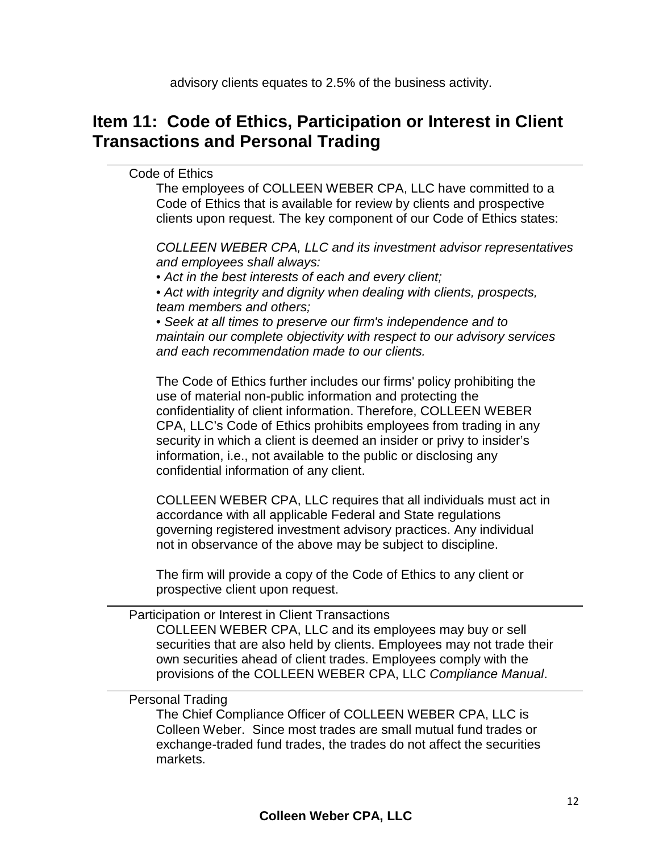# <span id="page-11-0"></span>**Item 11: Code of Ethics, Participation or Interest in Client Transactions and Personal Trading**

### Code of Ethics

The employees of COLLEEN WEBER CPA, LLC have committed to a Code of Ethics that is available for review by clients and prospective clients upon request. The key component of our Code of Ethics states:

*COLLEEN WEBER CPA, LLC and its investment advisor representatives and employees shall always:*

• *Act in the best interests of each and every client;*

• *Act with integrity and dignity when dealing with clients, prospects, team members and others;*

• *Seek at all times to preserve our firm's independence and to maintain our complete objectivity with respect to our advisory services and each recommendation made to our clients.*

The Code of Ethics further includes our firms' policy prohibiting the use of material non-public information and protecting the confidentiality of client information. Therefore, COLLEEN WEBER CPA, LLC's Code of Ethics prohibits employees from trading in any security in which a client is deemed an insider or privy to insider's information, i.e., not available to the public or disclosing any confidential information of any client.

COLLEEN WEBER CPA, LLC requires that all individuals must act in accordance with all applicable Federal and State regulations governing registered investment advisory practices. Any individual not in observance of the above may be subject to discipline.

The firm will provide a copy of the Code of Ethics to any client or prospective client upon request.

Participation or Interest in Client Transactions

COLLEEN WEBER CPA, LLC and its employees may buy or sell securities that are also held by clients. Employees may not trade their own securities ahead of client trades. Employees comply with the provisions of the COLLEEN WEBER CPA, LLC *Compliance Manual*.

### Personal Trading

The Chief Compliance Officer of COLLEEN WEBER CPA, LLC is Colleen Weber. Since most trades are small mutual fund trades or exchange-traded fund trades, the trades do not affect the securities markets.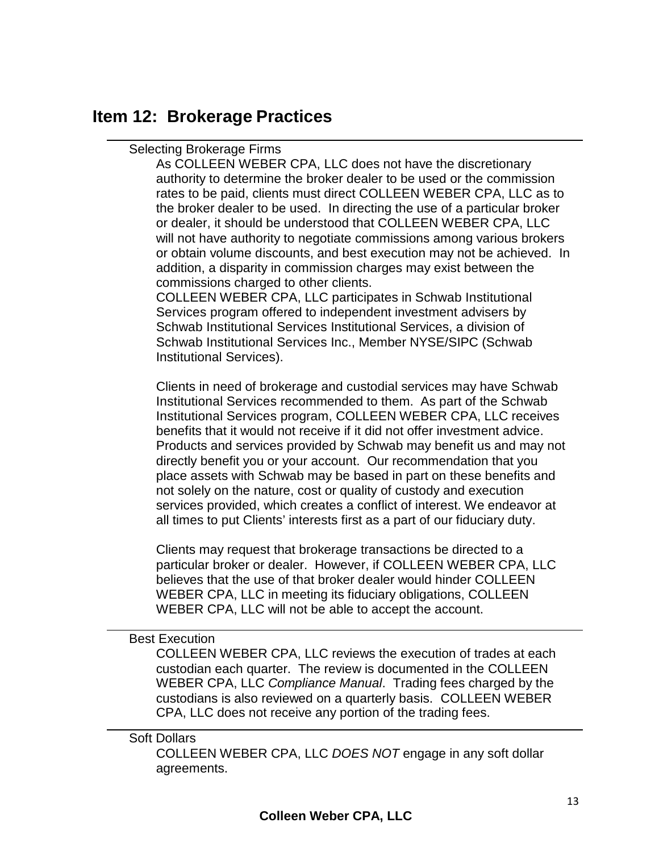### <span id="page-12-0"></span>**Item 12: Brokerage Practices**

### Selecting Brokerage Firms

As COLLEEN WEBER CPA, LLC does not have the discretionary authority to determine the broker dealer to be used or the commission rates to be paid, clients must direct COLLEEN WEBER CPA, LLC as to the broker dealer to be used. In directing the use of a particular broker or dealer, it should be understood that COLLEEN WEBER CPA, LLC will not have authority to negotiate commissions among various brokers or obtain volume discounts, and best execution may not be achieved. In addition, a disparity in commission charges may exist between the commissions charged to other clients.

COLLEEN WEBER CPA, LLC participates in Schwab Institutional Services program offered to independent investment advisers by Schwab Institutional Services Institutional Services, a division of Schwab Institutional Services Inc., Member NYSE/SIPC (Schwab Institutional Services).

Clients in need of brokerage and custodial services may have Schwab Institutional Services recommended to them. As part of the Schwab Institutional Services program, COLLEEN WEBER CPA, LLC receives benefits that it would not receive if it did not offer investment advice. Products and services provided by Schwab may benefit us and may not directly benefit you or your account. Our recommendation that you place assets with Schwab may be based in part on these benefits and not solely on the nature, cost or quality of custody and execution services provided, which creates a conflict of interest. We endeavor at all times to put Clients' interests first as a part of our fiduciary duty.

Clients may request that brokerage transactions be directed to a particular broker or dealer. However, if COLLEEN WEBER CPA, LLC believes that the use of that broker dealer would hinder COLLEEN WEBER CPA, LLC in meeting its fiduciary obligations, COLLEEN WEBER CPA, LLC will not be able to accept the account.

### Best Execution

COLLEEN WEBER CPA, LLC reviews the execution of trades at each custodian each quarter. The review is documented in the COLLEEN WEBER CPA, LLC *Compliance Manual*. Trading fees charged by the custodians is also reviewed on a quarterly basis. COLLEEN WEBER CPA, LLC does not receive any portion of the trading fees.

#### Soft Dollars

COLLEEN WEBER CPA, LLC *DOES NOT* engage in any soft dollar agreements.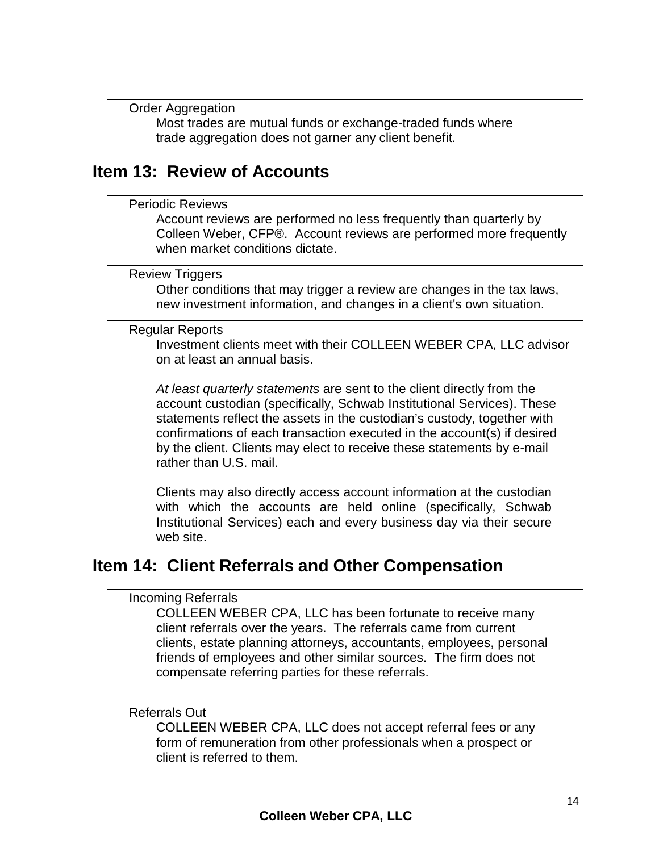Order Aggregation

Most trades are mutual funds or exchange-traded funds where trade aggregation does not garner any client benefit.

### <span id="page-13-0"></span>**Item 13: Review of Accounts**

#### Periodic Reviews

Account reviews are performed no less frequently than quarterly by Colleen Weber, CFP®. Account reviews are performed more frequently when market conditions dictate.

#### Review Triggers

Other conditions that may trigger a review are changes in the tax laws, new investment information, and changes in a client's own situation.

#### Regular Reports

Investment clients meet with their COLLEEN WEBER CPA, LLC advisor on at least an annual basis.

*At least quarterly statements* are sent to the client directly from the account custodian (specifically, Schwab Institutional Services). These statements reflect the assets in the custodian's custody, together with confirmations of each transaction executed in the account(s) if desired by the client. Clients may elect to receive these statements by e-mail rather than U.S. mail.

Clients may also directly access account information at the custodian with which the accounts are held online (specifically, Schwab Institutional Services) each and every business day via their secure web site.

### <span id="page-13-1"></span>**Item 14: Client Referrals and Other Compensation**

#### Incoming Referrals

COLLEEN WEBER CPA, LLC has been fortunate to receive many client referrals over the years. The referrals came from current clients, estate planning attorneys, accountants, employees, personal friends of employees and other similar sources. The firm does not compensate referring parties for these referrals.

#### Referrals Out

COLLEEN WEBER CPA, LLC does not accept referral fees or any form of remuneration from other professionals when a prospect or client is referred to them.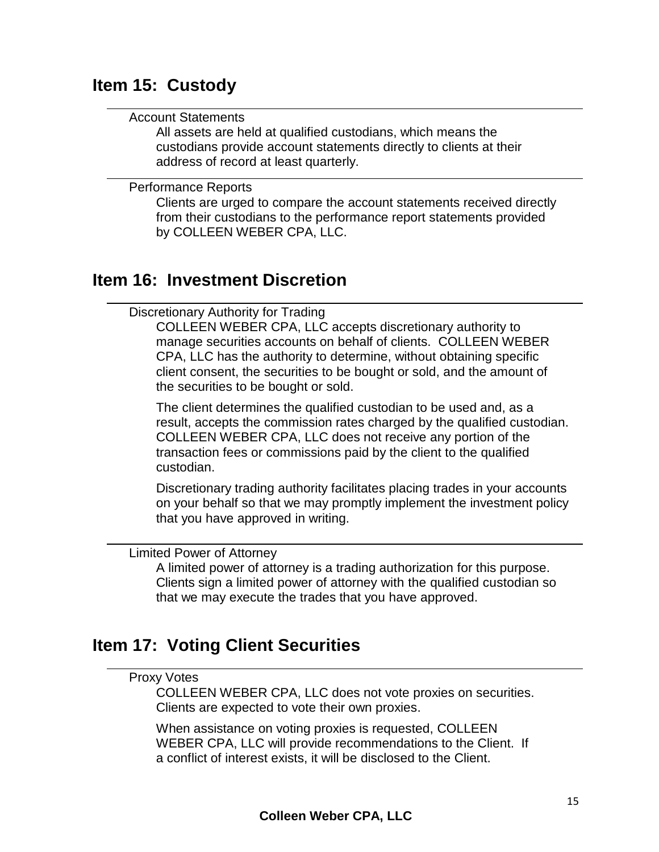### <span id="page-14-0"></span>**Item 15: Custody**

#### Account Statements

All assets are held at qualified custodians, which means the custodians provide account statements directly to clients at their address of record at least quarterly.

Performance Reports

Clients are urged to compare the account statements received directly from their custodians to the performance report statements provided by COLLEEN WEBER CPA, LLC.

### <span id="page-14-1"></span>**Item 16: Investment Discretion**

Discretionary Authority for Trading

COLLEEN WEBER CPA, LLC accepts discretionary authority to manage securities accounts on behalf of clients. COLLEEN WEBER CPA, LLC has the authority to determine, without obtaining specific client consent, the securities to be bought or sold, and the amount of the securities to be bought or sold.

The client determines the qualified custodian to be used and, as a result, accepts the commission rates charged by the qualified custodian. COLLEEN WEBER CPA, LLC does not receive any portion of the transaction fees or commissions paid by the client to the qualified custodian.

Discretionary trading authority facilitates placing trades in your accounts on your behalf so that we may promptly implement the investment policy that you have approved in writing.

Limited Power of Attorney

A limited power of attorney is a trading authorization for this purpose. Clients sign a limited power of attorney with the qualified custodian so that we may execute the trades that you have approved.

# <span id="page-14-2"></span>**Item 17: Voting Client Securities**

### Proxy Votes

COLLEEN WEBER CPA, LLC does not vote proxies on securities. Clients are expected to vote their own proxies.

When assistance on voting proxies is requested, COLLEEN WEBER CPA, LLC will provide recommendations to the Client. If a conflict of interest exists, it will be disclosed to the Client.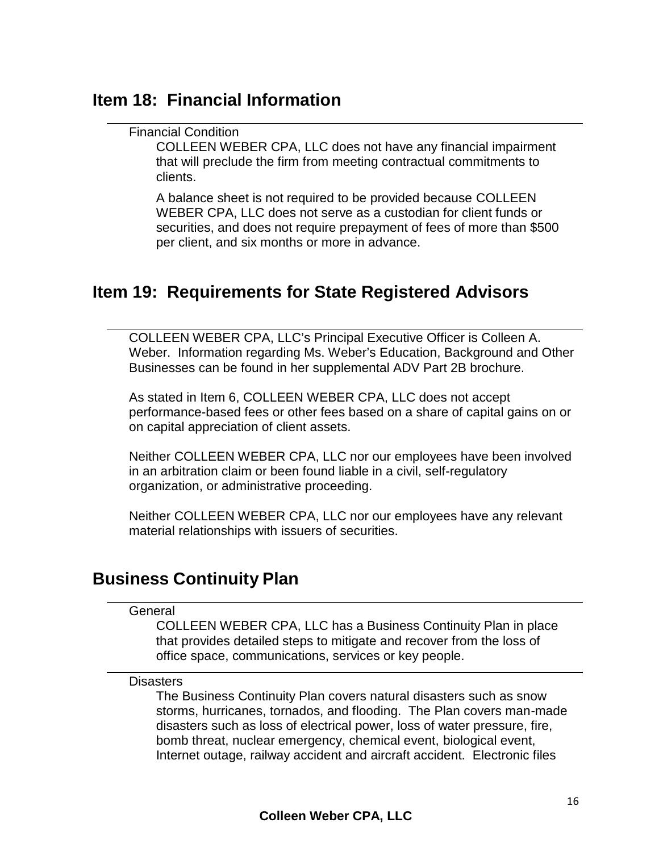### <span id="page-15-0"></span>**Item 18: Financial Information**

### Financial Condition

COLLEEN WEBER CPA, LLC does not have any financial impairment that will preclude the firm from meeting contractual commitments to clients.

A balance sheet is not required to be provided because COLLEEN WEBER CPA, LLC does not serve as a custodian for client funds or securities, and does not require prepayment of fees of more than \$500 per client, and six months or more in advance.

### <span id="page-15-1"></span>**Item 19: Requirements for State Registered Advisors**

COLLEEN WEBER CPA, LLC's Principal Executive Officer is Colleen A. Weber. Information regarding Ms. Weber's Education, Background and Other Businesses can be found in her supplemental ADV Part 2B brochure.

As stated in Item 6, COLLEEN WEBER CPA, LLC does not accept performance-based fees or other fees based on a share of capital gains on or on capital appreciation of client assets.

Neither COLLEEN WEBER CPA, LLC nor our employees have been involved in an arbitration claim or been found liable in a civil, self-regulatory organization, or administrative proceeding.

Neither COLLEEN WEBER CPA, LLC nor our employees have any relevant material relationships with issuers of securities.

### <span id="page-15-2"></span>**Business Continuity Plan**

#### **General**

COLLEEN WEBER CPA, LLC has a Business Continuity Plan in place that provides detailed steps to mitigate and recover from the loss of office space, communications, services or key people.

#### **Disasters**

The Business Continuity Plan covers natural disasters such as snow storms, hurricanes, tornados, and flooding. The Plan covers man-made disasters such as loss of electrical power, loss of water pressure, fire, bomb threat, nuclear emergency, chemical event, biological event, Internet outage, railway accident and aircraft accident. Electronic files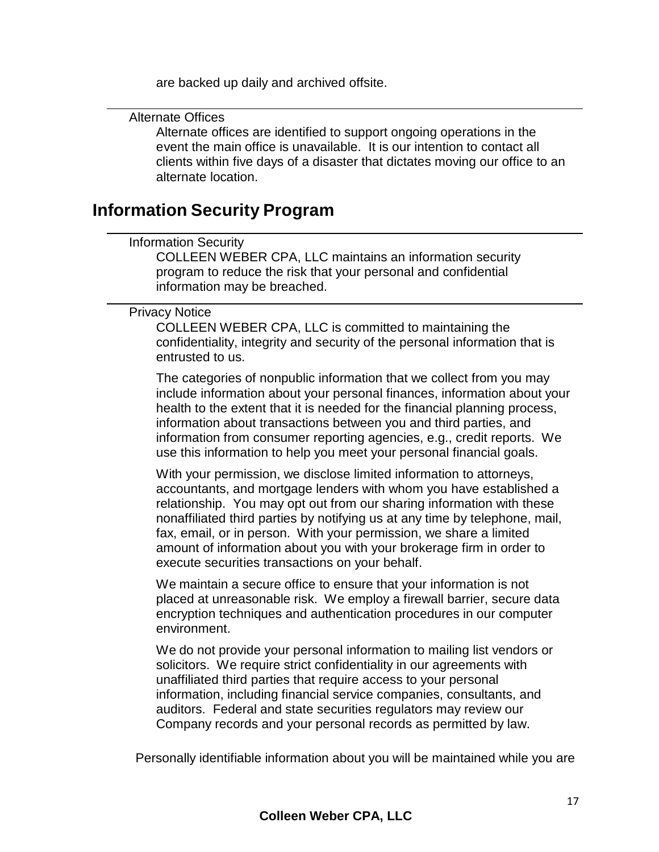are backed up daily and archived offsite.

Alternate Offices

Alternate offices are identified to support ongoing operations in the event the main office is unavailable. It is our intention to contact all clients within five days of a disaster that dictates moving our office to an alternate location.

### <span id="page-16-0"></span>**Information Security Program**

### Information Security

COLLEEN WEBER CPA, LLC maintains an information security program to reduce the risk that your personal and confidential information may be breached.

Privacy Notice

COLLEEN WEBER CPA, LLC is committed to maintaining the confidentiality, integrity and security of the personal information that is entrusted to us.

The categories of nonpublic information that we collect from you may include information about your personal finances, information about your health to the extent that it is needed for the financial planning process, information about transactions between you and third parties, and information from consumer reporting agencies, e.g., credit reports. We use this information to help you meet your personal financial goals.

With your permission, we disclose limited information to attorneys, accountants, and mortgage lenders with whom you have established a relationship. You may opt out from our sharing information with these nonaffiliated third parties by notifying us at any time by telephone, mail, fax, email, or in person. With your permission, we share a limited amount of information about you with your brokerage firm in order to execute securities transactions on your behalf.

We maintain a secure office to ensure that your information is not placed at unreasonable risk. We employ a firewall barrier, secure data encryption techniques and authentication procedures in our computer environment.

We do not provide your personal information to mailing list vendors or solicitors. We require strict confidentiality in our agreements with unaffiliated third parties that require access to your personal information, including financial service companies, consultants, and auditors. Federal and state securities regulators may review our Company records and your personal records as permitted by law.

Personally identifiable information about you will be maintained while you are